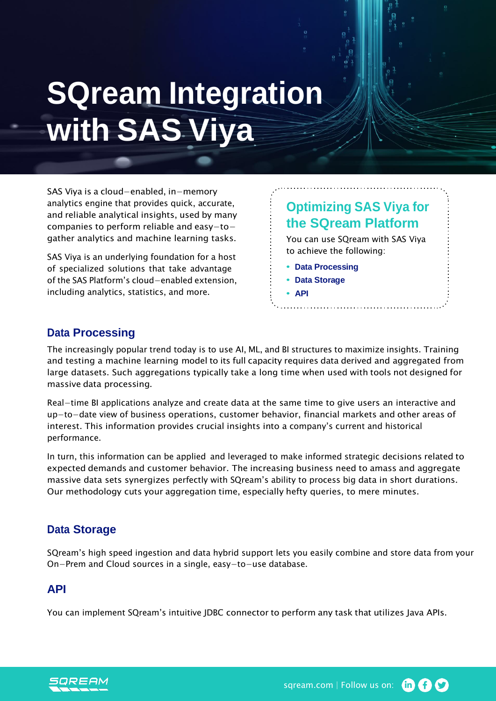# **SQream Integration with SAS Viya**

SAS Viya is a cloud−enabled, in−memory analytics engine that provides quick, accurate, and reliable analytical insights, used by many companies to perform reliable and easy−to− gather analytics and machine learning tasks.

SAS Viya is an underlying foundation for a host of specialized solutions that take advantage of the SAS Platform's cloud−enabled extension, including analytics, statistics, and more.

# **Optimizing SAS Viya for the SQream Platform**

You can use SQream with SAS Viya to achieve the following:

- **• Data Processing**
- **• Data Storage**
- **• API**

# **Data Processing**

The increasingly popular trend today is to use AI, ML, and BI structures to maximize insights. Training and testing a machine learning model to its full capacity requires data derived and aggregated from large datasets. Such aggregations typically take a long time when used with tools not designed for massive data processing.

Real−time BI applications analyze and create data at the same time to give users an interactive and up−to−date view of business operations, customer behavior, financial markets and other areas of interest. This information provides crucial insights into a company's current and historical performance.

In turn, this information can be applied and leveraged to make informed strategic decisions related to expected demands and customer behavior. The increasing business need to amass and aggregate massive data sets synergizes perfectly with SQream's ability to process big data in short durations. Our methodology cuts your aggregation time, especially hefty queries, to mere minutes.

# **Data Storage**

SQream's high speed ingestion and data hybrid support lets you easily combine and store data from your On−Prem and Cloud sources in a single, easy−to−use database.

## **API**

You can implement SQream's intuitive JDBC connector to perform any task that utilizes Java APIs.